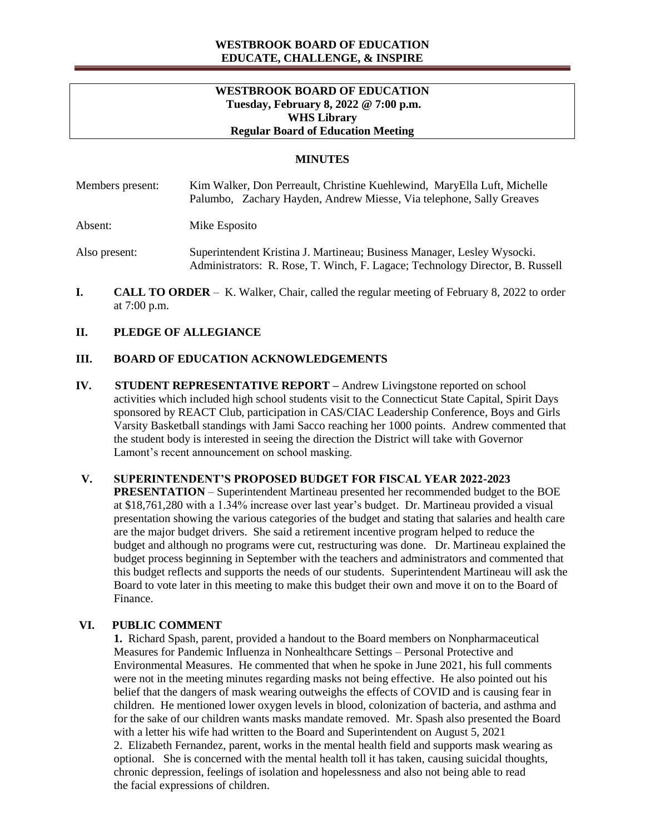## **WESTBROOK BOARD OF EDUCATION EDUCATE, CHALLENGE, & INSPIRE**

### **WESTBROOK BOARD OF EDUCATION Tuesday, February 8, 2022 @ 7:00 p.m. WHS Library Regular Board of Education Meeting**

## **MINUTES**

| Members present: | Kim Walker, Don Perreault, Christine Kuehlewind, MaryElla Luft, Michelle<br>Palumbo, Zachary Hayden, Andrew Miesse, Via telephone, Sally Greaves |
|------------------|--------------------------------------------------------------------------------------------------------------------------------------------------|
| Absent:          | Mike Esposito                                                                                                                                    |

Also present: Superintendent Kristina J. Martineau; Business Manager, Lesley Wysocki. Administrators: R. Rose, T. Winch, F. Lagace; Technology Director, B. Russell

**I. CALL TO ORDER** – K. Walker, Chair, called the regular meeting of February 8, 2022 to order at 7:00 p.m.

### **II. PLEDGE OF ALLEGIANCE**

## **III. BOARD OF EDUCATION ACKNOWLEDGEMENTS**

**IV. STUDENT REPRESENTATIVE REPORT –** Andrew Livingstone reported on school activities which included high school students visit to the Connecticut State Capital, Spirit Days sponsored by REACT Club, participation in CAS/CIAC Leadership Conference, Boys and Girls Varsity Basketball standings with Jami Sacco reaching her 1000 points. Andrew commented that the student body is interested in seeing the direction the District will take with Governor Lamont's recent announcement on school masking.

### **V. SUPERINTENDENT'S PROPOSED BUDGET FOR FISCAL YEAR 2022-2023**

**PRESENTATION** – Superintendent Martineau presented her recommended budget to the BOE at \$18,761,280 with a 1.34% increase over last year's budget. Dr. Martineau provided a visual presentation showing the various categories of the budget and stating that salaries and health care are the major budget drivers. She said a retirement incentive program helped to reduce the budget and although no programs were cut, restructuring was done. Dr. Martineau explained the budget process beginning in September with the teachers and administrators and commented that this budget reflects and supports the needs of our students. Superintendent Martineau will ask the Board to vote later in this meeting to make this budget their own and move it on to the Board of Finance.

### **VI. PUBLIC COMMENT**

**1.** Richard Spash, parent, provided a handout to the Board members on Nonpharmaceutical Measures for Pandemic Influenza in Nonhealthcare Settings – Personal Protective and Environmental Measures. He commented that when he spoke in June 2021, his full comments were not in the meeting minutes regarding masks not being effective. He also pointed out his belief that the dangers of mask wearing outweighs the effects of COVID and is causing fear in children. He mentioned lower oxygen levels in blood, colonization of bacteria, and asthma and for the sake of our children wants masks mandate removed. Mr. Spash also presented the Board with a letter his wife had written to the Board and Superintendent on August 5, 2021 2. Elizabeth Fernandez, parent, works in the mental health field and supports mask wearing as optional. She is concerned with the mental health toll it has taken, causing suicidal thoughts, chronic depression, feelings of isolation and hopelessness and also not being able to read the facial expressions of children.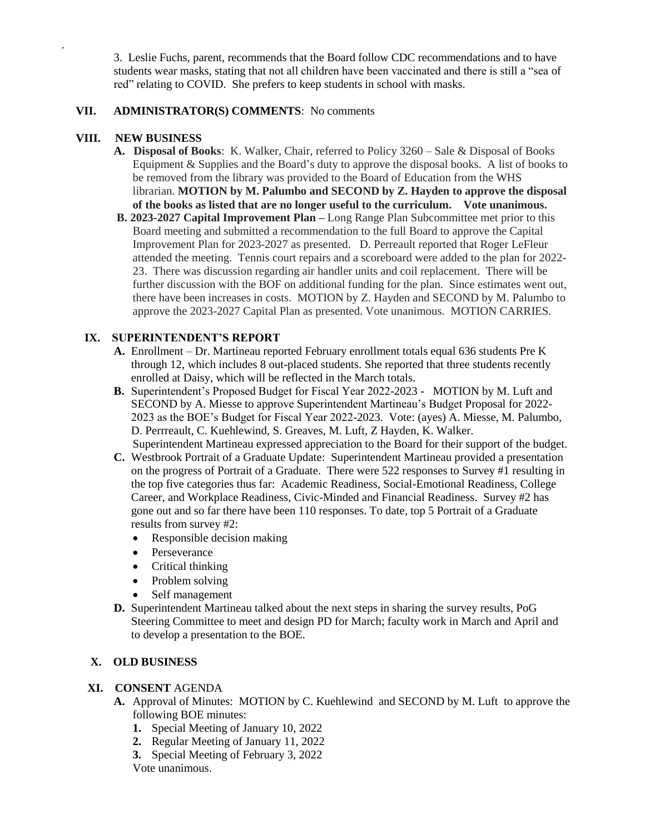3. Leslie Fuchs, parent, recommends that the Board follow CDC recommendations and to have students wear masks, stating that not all children have been vaccinated and there is still a "sea of red" relating to COVID. She prefers to keep students in school with masks.

## **VII. ADMINISTRATOR(S) COMMENTS**: No comments

## **VIII. NEW BUSINESS**

.

- **A. Disposal of Books**: K. Walker, Chair, referred to Policy 3260 Sale & Disposal of Books Equipment & Supplies and the Board's duty to approve the disposal books. A list of books to be removed from the library was provided to the Board of Education from the WHS librarian. **MOTION by M. Palumbo and SECOND by Z. Hayden to approve the disposal of the books as listed that are no longer useful to the curriculum. Vote unanimous.**
- **B. 2023-2027 Capital Improvement Plan –** Long Range Plan Subcommittee met prior to this Board meeting and submitted a recommendation to the full Board to approve the Capital Improvement Plan for 2023-2027 as presented. D. Perreault reported that Roger LeFleur attended the meeting. Tennis court repairs and a scoreboard were added to the plan for 2022- 23. There was discussion regarding air handler units and coil replacement. There will be further discussion with the BOF on additional funding for the plan. Since estimates went out, there have been increases in costs. MOTION by Z. Hayden and SECOND by M. Palumbo to approve the 2023-2027 Capital Plan as presented. Vote unanimous. MOTION CARRIES.

## **IX. SUPERINTENDENT'S REPORT**

- **A.** Enrollment Dr. Martineau reported February enrollment totals equal 636 students Pre K through 12, which includes 8 out-placed students. She reported that three students recently enrolled at Daisy, which will be reflected in the March totals.
- **B.** Superintendent's Proposed Budget for Fiscal Year 2022-2023 MOTION by M. Luft and SECOND by A. Miesse to approve Superintendent Martineau's Budget Proposal for 2022- 2023 as the BOE's Budget for Fiscal Year 2022-2023. Vote: (ayes) A. Miesse, M. Palumbo, D. Perrreault, C. Kuehlewind, S. Greaves, M. Luft, Z Hayden, K. Walker. Superintendent Martineau expressed appreciation to the Board for their support of the budget.
- **C.** Westbrook Portrait of a Graduate Update: Superintendent Martineau provided a presentation on the progress of Portrait of a Graduate. There were 522 responses to Survey #1 resulting in the top five categories thus far: Academic Readiness, Social-Emotional Readiness, College Career, and Workplace Readiness, Civic-Minded and Financial Readiness. Survey #2 has gone out and so far there have been 110 responses. To date, top 5 Portrait of a Graduate results from survey #2:
	- Responsible decision making
	- Perseverance
	- Critical thinking
	- Problem solving
	- Self management
- **D.** Superintendent Martineau talked about the next steps in sharing the survey results, PoG Steering Committee to meet and design PD for March; faculty work in March and April and to develop a presentation to the BOE.

### **X. OLD BUSINESS**

# **XI. CONSENT** AGENDA

- **A.** Approval of Minutes: MOTION by C. Kuehlewind and SECOND by M. Luft to approve the following BOE minutes:
	- **1.** Special Meeting of January 10, 2022
	- **2.** Regular Meeting of January 11, 2022
	- **3.** Special Meeting of February 3, 2022
	- Vote unanimous.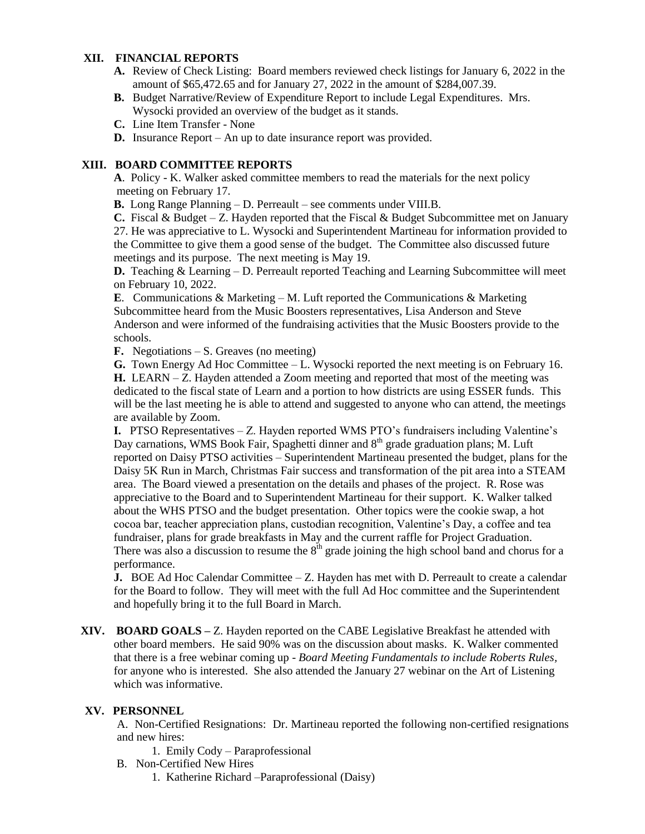# **XII. FINANCIAL REPORTS**

- **A.** Review of Check Listing: Board members reviewed check listings for January 6, 2022 in the amount of \$65,472.65 and for January 27, 2022 in the amount of \$284,007.39.
- **B.** Budget Narrative/Review of Expenditure Report to include Legal Expenditures. Mrs. Wysocki provided an overview of the budget as it stands.
- **C.** Line Item Transfer None
- **D.** Insurance Report An up to date insurance report was provided.

### **XIII. BOARD COMMITTEE REPORTS**

**A**. Policy - K. Walker asked committee members to read the materials for the next policy meeting on February 17.

**B.** Long Range Planning – D. Perreault – see comments under VIII.B.

**C.** Fiscal & Budget – Z. Hayden reported that the Fiscal & Budget Subcommittee met on January 27. He was appreciative to L. Wysocki and Superintendent Martineau for information provided to the Committee to give them a good sense of the budget. The Committee also discussed future meetings and its purpose. The next meeting is May 19.

**D.** Teaching & Learning – D. Perreault reported Teaching and Learning Subcommittee will meet on February 10, 2022.

**E**. Communications & Marketing – M. Luft reported the Communications & Marketing Subcommittee heard from the Music Boosters representatives, Lisa Anderson and Steve Anderson and were informed of the fundraising activities that the Music Boosters provide to the schools.

**F.** Negotiations – S. Greaves (no meeting)

**G.** Town Energy Ad Hoc Committee – L. Wysocki reported the next meeting is on February 16.

**H.** LEARN – Z. Hayden attended a Zoom meeting and reported that most of the meeting was dedicated to the fiscal state of Learn and a portion to how districts are using ESSER funds. This will be the last meeting he is able to attend and suggested to anyone who can attend, the meetings are available by Zoom.

**I.** PTSO Representatives – Z. Hayden reported WMS PTO's fundraisers including Valentine's Day carnations, WMS Book Fair, Spaghetti dinner and  $8<sup>th</sup>$  grade graduation plans; M. Luft reported on Daisy PTSO activities – Superintendent Martineau presented the budget, plans for the Daisy 5K Run in March, Christmas Fair success and transformation of the pit area into a STEAM area. The Board viewed a presentation on the details and phases of the project. R. Rose was appreciative to the Board and to Superintendent Martineau for their support. K. Walker talked about the WHS PTSO and the budget presentation. Other topics were the cookie swap, a hot cocoa bar, teacher appreciation plans, custodian recognition, Valentine's Day, a coffee and tea fundraiser, plans for grade breakfasts in May and the current raffle for Project Graduation. There was also a discussion to resume the  $8<sup>th</sup>$  grade joining the high school band and chorus for a performance.

**J.** BOE Ad Hoc Calendar Committee – Z. Hayden has met with D. Perreault to create a calendar for the Board to follow. They will meet with the full Ad Hoc committee and the Superintendent and hopefully bring it to the full Board in March.

**XIV. BOARD GOALS –** Z. Hayden reported on the CABE Legislative Breakfast he attended with other board members. He said 90% was on the discussion about masks. K. Walker commented that there is a free webinar coming up - *Board Meeting Fundamentals to include Roberts Rules,* for anyone who is interested. She also attended the January 27 webinar on the Art of Listening which was informative.

#### **XV. PERSONNEL**

A. Non-Certified Resignations: Dr. Martineau reported the following non-certified resignations and new hires:

1. Emily Cody – Paraprofessional

- B. Non-Certified New Hires
	- 1. Katherine Richard –Paraprofessional (Daisy)